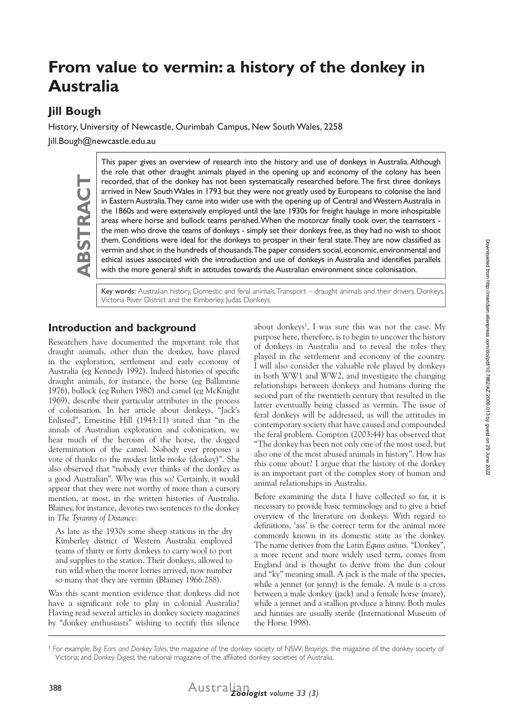# **From value to vermin: a history of the donkey in Australia**

# **Jill Bough**

History, University of Newcastle, Ourimbah Campus, New South Wales, 2258

Jill.Bough@newcastle.edu.au

**ABSTRACT BSTRAC** 

This paper gives an overview of research into the history and use of donkeys in Australia. Although the role that other draught animals played in the opening up and economy of the colony has been recorded, that of the donkey has not been systematically researched before. The first three donkeys arrived in New South Wales in 1793 but they were not greatly used by Europeans to colonise the land in Eastern Australia. They came into wider use with the opening up of Central and Western Australia in the 1860s and were extensively employed until the late 1930s for freight haulage in more inhospitable areas where horse and bullock teams perished. When the motorcar finally took over, the teamsters the men who drove the teams of donkeys - simply set their donkeys free, as they had no wish to shoot them. Conditions were ideal for the donkeys to prosper in their feral state. They are now classified as vermin and shot in the hundreds of thousands. The paper considers social, economic, environmental and ethical issues associated with the introduction and use of donkeys in Australia and identifies parallels with the more general shift in attitudes towards the Australian environment since colonisation.

Key words: Australian history, Domestic and feral animals, Transport - draught animals and their drivers, Donkeys, Victoria River District and the Kimberley, Judas Donkeys

## **Introduction and background**

Researchers have documented the important role that draught animals, other than the donkey, have played in the exploration, settlement and early economy of Australia (eg Kennedy 1992). Indeed histories of specific draught animals, for instance, the horse (eg Ballantine 1976), bullock (eg Ruhen 1980) and camel (eg McKnight 1969), describe their particular attributes in the process of colonisation. In her article about donkeys, "Jack's Enlisted", Ernestine Hill (1943:11) stated that "in the annals of Australian exploration and colonization, we hear much of the heroism of the horse, the dogged determination of the camel. Nobody ever proposes a vote of thanks to the modest little moke (donkey)". She also observed that "nobody ever thinks of the donkey as a good Australian". Why was this so? Certainly, it would appear that they were not worthy of more than a cursory mention, at most, in the written histories of Australia. Blainey, for instance, devotes two sentences to the donkey in *The Tyranny of Distance*:

As late as the 1930s some sheep stations in the dry Kimberley district of Western Australia employed teams of thirty or forty donkeys to carry wool to port and supplies to the station. Their donkeys, allowed to run wild when the motor lorries arrived, now number so many that they are vermin (Blainey 1966:288).

Was this scant mention evidence that donkeys did not have a significant role to play in colonial Australia? Having read several articles in donkey society magazines by "donkey enthusiasts" wishing to rectify this silence

about donkeys<sup>1</sup>, I was sure this was not the case. My purpose here, therefore, is to begin to uncover the history of donkeys in Australia and to reveal the roles they played in the settlement and economy of the country. I will also consider the valuable role played by donkeys in both WW1 and WW2, and investigate the changing relationships between donkeys and humans during the second part of the twentieth century that resulted in the latter eventually being classed as vermin. The issue of feral donkeys will be addressed, as will the attitudes in contemporary society that have caused and compounded the feral problem. Compton (2003:44) has observed that "The donkey has been not only one of the most used, but also one of the most abused animals in history". How has this come about? I argue that the history of the donkey is an important part of the complex story of human and animal relationships in Australia.

Before examining the data I have collected so far, it is necessary to provide basic terminology and to give a brief overview of the literature on donkeys. With regard to definitions, 'ass' is the correct term for the animal more commonly known in its domestic state as the donkey. The name derives from the Latin *Equus asinus.* "Donkey", a more recent and more widely used term, comes from England and is thought to derive from the dun colour and "ky" meaning small. A jack is the male of the species, while a jennet (or jenny) is the female. A mule is a cross between a male donkey (jack) and a female horse (mare), while a jennet and a stallion produce a hinny. Both mules and hinnies are usually sterile (International Museum of the Horse 1998).



<sup>1</sup> For example, *Big Ears and Donkey Tales*, the magazine of the donkey society of NSW; *Brayings,* the magazine of the donkey society of Victoria; and *Donkey Digest,* the national magazine of the affiliated donkey societies of Australia.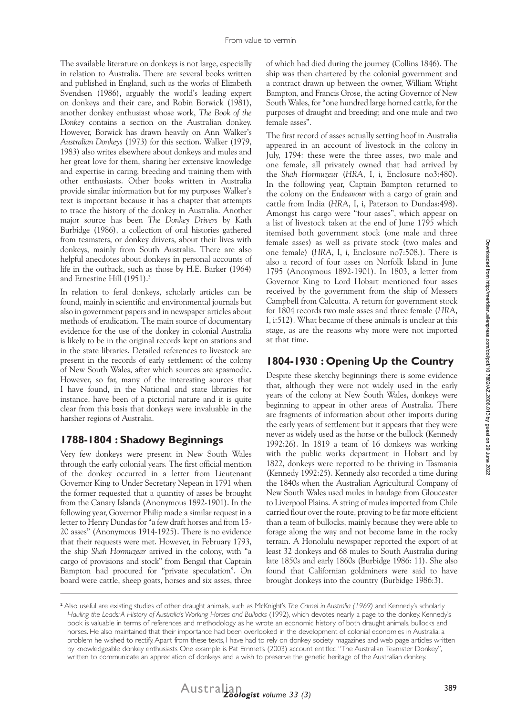The available literature on donkeys is not large, especially in relation to Australia. There are several books written and published in England, such as the works of Elizabeth Svendsen (1986), arguably the world's leading expert on donkeys and their care, and Robin Borwick (1981), another donkey enthusiast whose work, *The Book of the Donkey* contains a section on the Australian donkey. However, Borwick has drawn heavily on Ann Walker's *Australian Donkeys* (1973) for this section. Walker (1979, 1983) also writes elsewhere about donkeys and mules and her great love for them, sharing her extensive knowledge and expertise in caring, breeding and training them with other enthusiasts. Other books written in Australia provide similar information but for my purposes Walker's text is important because it has a chapter that attempts to trace the history of the donkey in Australia. Another major source has been *The Donkey Drivers* by Kath Burbidge (1986), a collection of oral histories gathered from teamsters, or donkey drivers, about their lives with donkeys, mainly from South Australia. There are also helpful anecdotes about donkeys in personal accounts of life in the outback, such as those by H.E. Barker (1964) and Ernestine Hill (1951).2

In relation to feral donkeys, scholarly articles can be found, mainly in scientific and environmental journals but also in government papers and in newspaper articles about methods of eradication. The main source of documentary evidence for the use of the donkey in colonial Australia is likely to be in the original records kept on stations and in the state libraries. Detailed references to livestock are present in the records of early settlement of the colony of New South Wales, after which sources are spasmodic. However, so far, many of the interesting sources that I have found, in the National and state libraries for instance, have been of a pictorial nature and it is quite clear from this basis that donkeys were invaluable in the harsher regions of Australia.

### **1788-1804 : Shadowy Beginnings**

Very few donkeys were present in New South Wales through the early colonial years. The first official mention of the donkey occurred in a letter from Lieutenant Governor King to Under Secretary Nepean in 1791 when the former requested that a quantity of asses be brought from the Canary Islands (Anonymous 1892-1901). In the following year, Governor Philip made a similar request in a letter to Henry Dundas for "a few draft horses and from 15- 20 asses" (Anonymous 1914-1925). There is no evidence that their requests were met. However, in February 1793, the ship *Shah Hormuzear* arrived in the colony, with "a cargo of provisions and stock" from Bengal that Captain Bampton had procured for "private speculation". On board were cattle, sheep goats, horses and six asses, three

of which had died during the journey (Collins 1846). The ship was then chartered by the colonial government and a contract drawn up between the owner, William Wright Bampton, and Francis Grose, the acting Governor of New South Wales, for "one hundred large horned cattle, for the purposes of draught and breeding; and one mule and two female asses".

The first record of asses actually setting hoof in Australia appeared in an account of livestock in the colony in July, 1794: these were the three asses, two male and one female, all privately owned that had arrived by the *Shah Hormuzeur* (*HRA*, I, i, Enclosure no3:480). In the following year, Captain Bampton returned to the colony on the *Endeavour* with a cargo of grain and cattle from India (*HRA*, I, i, Paterson to Dundas:498). Amongst his cargo were "four asses", which appear on a list of livestock taken at the end of June 1795 which itemised both government stock (one male and three female asses) as well as private stock (two males and one female) (*HRA*, I, i, Enclosure no7:508.). There is also a record of four asses on Norfolk Island in June 1795 (Anonymous 1892-1901). In 1803, a letter from Governor King to Lord Hobart mentioned four asses received by the government from the ship of Messers Campbell from Calcutta. A return for government stock for 1804 records two male asses and three female (*HRA*, I, i:512). What became of these animals is unclear at this stage, as are the reasons why more were not imported at that time.

## **1804-1930 : Opening Up the Country**

Despite these sketchy beginnings there is some evidence that, although they were not widely used in the early years of the colony at New South Wales, donkeys were beginning to appear in other areas of Australia. There are fragments of information about other imports during the early years of settlement but it appears that they were never as widely used as the horse or the bullock (Kennedy 1992:26). In 1819 a team of 16 donkeys was working with the public works department in Hobart and by 1822, donkeys were reported to be thriving in Tasmania (Kennedy 1992:25). Kennedy also recorded a time during the 1840s when the Australian Agricultural Company of New South Wales used mules in haulage from Gloucester to Liverpool Plains. A string of mules imported from Chile carried flour over the route, proving to be far more efficient than a team of bullocks, mainly because they were able to forage along the way and not become lame in the rocky terrain. A Honolulu newspaper reported the export of at least 32 donkeys and 68 mules to South Australia during late 1850s and early 1860s (Burbidge 1986: 11). She also found that Californian goldminers were said to have brought donkeys into the country (Burbidge 1986:3).



<sup>2</sup> Also useful are existing studies of other draught animals, such as McKnight's *The Camel in Australia (1969)* and Kennedy's scholarly *Hauling the Loads: A History of Australia's Working Horses and Bullocks* (1992), which devotes nearly a page to the donkey. Kennedy's book is valuable in terms of references and methodology as he wrote an economic history of both draught animals, bullocks and horses. He also maintained that their importance had been overlooked in the development of colonial economies in Australia, a problem he wished to rectify. Apart from these texts, I have had to rely on donkey society magazines and web page articles written by knowledgeable donkey enthusiasts One example is Pat Emmet's (2003) account entitled "The Australian Teamster Donkey", written to communicate an appreciation of donkeys and a wish to preserve the genetic heritage of the Australian donkey.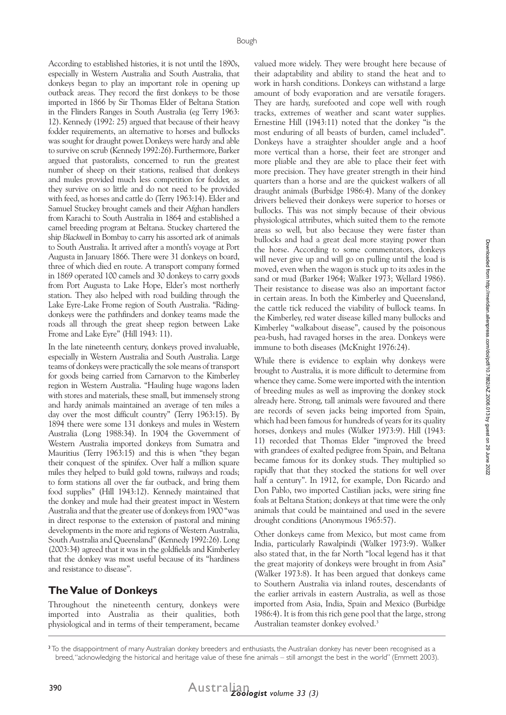According to established histories, it is not until the 1890s, especially in Western Australia and South Australia, that donkeys began to play an important role in opening up outback areas. They record the first donkeys to be those imported in 1866 by Sir Thomas Elder of Beltana Station in the Flinders Ranges in South Australia (eg Terry 1963: 12). Kennedy (1992: 25) argued that because of their heavy fodder requirements, an alternative to horses and bullocks was sought for draught power.Donkeys were hardy and able to survive on scrub (Kennedy 1992:26).Furthermore, Barker argued that pastoralists, concerned to run the greatest number of sheep on their stations, realised that donkeys and mules provided much less competition for fodder, as they survive on so little and do not need to be provided with feed, as horses and cattle do (Terry 1963:14). Elder and Samuel Stuckey brought camels and their Afghan handlers from Karachi to South Australia in 1864 and established a camel breeding program at Beltana. Stuckey chartered the ship *Blackwell* in Bombay to carry his assorted ark of animals to South Australia. It arrived after a month's voyage at Port Augusta in January 1866. There were 31 donkeys on board, three of which died en route. A transport company formed in 1869 operated 100 camels and 30 donkeys to carry goods from Port Augusta to Lake Hope, Elder's most northerly station. They also helped with road building through the Lake Eyre-Lake Frome region of South Australia. "Ridingdonkeys were the pathfinders and donkey teams made the roads all through the great sheep region between Lake Frome and Lake Eyre" (Hill 1943: 11).

In the late nineteenth century, donkeys proved invaluable, especially in Western Australia and South Australia. Large teams of donkeys were practically the sole means of transport for goods being carried from Carnarvon to the Kimberley region in Western Australia. "Hauling huge wagons laden with stores and materials, these small, but immensely strong and hardy animals maintained an average of ten miles a day over the most difficult country" (Terry 1963:15). By 1894 there were some 131 donkeys and mules in Western Australia (Long 1988:34). In 1904 the Government of Western Australia imported donkeys from Sumatra and Mauritius (Terry 1963:15) and this is when "they began their conquest of the spinifex. Over half a million square miles they helped to build gold towns, railways and roads; to form stations all over the far outback, and bring them food supplies" (Hill 1943:12). Kennedy maintained that the donkey and mule had their greatest impact in Western Australia and that the greater use of donkeys from 1900 "was in direct response to the extension of pastoral and mining developments in the more arid regions of Western Australia, South Australia and Queensland" (Kennedy 1992:26). Long (2003:34) agreed that it was in the goldfields and Kimberley that the donkey was most useful because of its "hardiness and resistance to disease".

#### **The Value of Donkeys**

Throughout the nineteenth century, donkeys were imported into Australia as their qualities, both physiological and in terms of their temperament, became

valued more widely. They were brought here because of their adaptability and ability to stand the heat and to work in harsh conditions. Donkeys can withstand a large amount of body evaporation and are versatile foragers. They are hardy, surefooted and cope well with rough tracks, extremes of weather and scant water supplies. Ernestine Hill (1943:11) noted that the donkey "is the most enduring of all beasts of burden, camel included". Donkeys have a straighter shoulder angle and a hoof more vertical than a horse, their feet are stronger and more pliable and they are able to place their feet with more precision. They have greater strength in their hind quarters than a horse and are the quickest walkers of all draught animals (Burbidge 1986:4). Many of the donkey drivers believed their donkeys were superior to horses or bullocks. This was not simply because of their obvious physiological attributes, which suited them to the remote areas so well, but also because they were faster than bullocks and had a great deal more staying power than the horse. According to some commentators, donkeys will never give up and will go on pulling until the load is moved, even when the wagon is stuck up to its axles in the sand or mud (Barker 1964; Walker 1973; Wellard 1986). Their resistance to disease was also an important factor in certain areas. In both the Kimberley and Queensland, the cattle tick reduced the viability of bullock teams. In the Kimberley, red water disease killed many bullocks and Kimberley "walkabout disease", caused by the poisonous pea-bush, had ravaged horses in the area. Donkeys were immune to both diseases (McKnight 1976:24).

While there is evidence to explain why donkeys were brought to Australia, it is more difficult to determine from whence they came. Some were imported with the intention of breeding mules as well as improving the donkey stock already here. Strong, tall animals were favoured and there are records of seven jacks being imported from Spain, which had been famous for hundreds of years for its quality horses, donkeys and mules (Walker 1973:9). Hill (1943: 11) recorded that Thomas Elder "improved the breed with grandees of exalted pedigree from Spain, and Beltana became famous for its donkey studs. They multiplied so rapidly that that they stocked the stations for well over half a century". In 1912, for example, Don Ricardo and Don Pablo, two imported Castilian jacks, were siring fine foals at Beltana Station; donkeys at that time were the only animals that could be maintained and used in the severe drought conditions (Anonymous 1965:57).

Other donkeys came from Mexico, but most came from India, particularly Rawalpindi (Walker 1973:9). Walker also stated that, in the far North "local legend has it that the great majority of donkeys were brought in from Asia" (Walker 1973:8). It has been argued that donkeys came to Southern Australia via inland routes, descendants of the earlier arrivals in eastern Australia, as well as those imported from Asia, India, Spain and Mexico (Burbidge 1986:4). It is from this rich gene pool that the large, strong Australian teamster donkey evolved.<sup>3</sup>

<sup>390</sup> Australian *Zoologist volume 33 (3)* Australian

<sup>&</sup>lt;sup>3</sup> To the disappointment of many Australian donkey breeders and enthusiasts, the Australian donkey has never been recognised as a breed, "acknowledging the historical and heritage value of these fine animals – still amongst the best in the world" (Emmett 2003).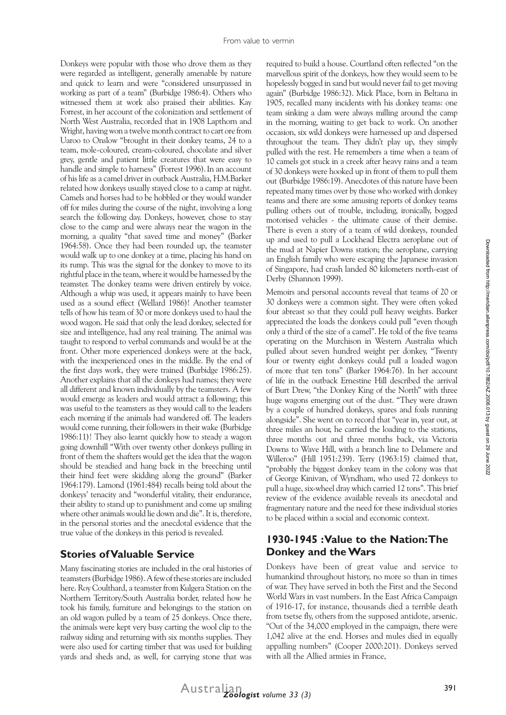Donkeys were popular with those who drove them as they were regarded as intelligent, generally amenable by nature and quick to learn and were "considered unsurpassed in working as part of a team" (Burbidge 1986:4). Others who witnessed them at work also praised their abilities. Kay Forrest, in her account of the colonization and settlement of North West Australia, recorded that in 1908 Lapthorn and Wright, having won a twelve month contract to cart ore from Uaroo to Onslow "brought in their donkey teams, 24 to a team, mole-coloured, cream-coloured, chocolate and silver grey, gentle and patient little creatures that were easy to handle and simple to harness" (Forrest 1996). In an account of his life as a camel driver in outback Australia, H.M.Barker related how donkeys usually stayed close to a camp at night. Camels and horses had to be hobbled or they would wander off for miles during the course of the night, involving a long search the following day. Donkeys, however, chose to stay close to the camp and were always near the wagon in the morning, a quality "that saved time and money" (Barker 1964:58). Once they had been rounded up, the teamster would walk up to one donkey at a time, placing his hand on its rump. This was the signal for the donkey to move to its rightful place in the team, where it would be harnessed by the teamster. The donkey teams were driven entirely by voice. Although a whip was used, it appears mainly to have been used as a sound effect (Wellard 1986)! Another teamster tells of how his team of 30 or more donkeys used to haul the wood wagon. He said that only the lead donkey, selected for size and intelligence, had any real training. The animal was taught to respond to verbal commands and would be at the front. Other more experienced donkeys were at the back, with the inexperienced ones in the middle. By the end of the first days work, they were trained (Burbidge 1986:25). Another explains that all the donkeys had names; they were all different and known individually by the teamsters. A few would emerge as leaders and would attract a following; this was useful to the teamsters as they would call to the leaders each morning if the animals had wandered off. The leaders would come running, their followers in their wake (Burbidge 1986:11)! They also learnt quickly how to steady a wagon going downhill "With over twenty other donkeys pulling in front of them the shafters would get the idea that the wagon should be steadied and hang back in the breeching until their hind feet were skidding along the ground" (Barker 1964:179). Lamond (1961:484) recalls being told about the donkeys' tenacity and "wonderful vitality, their endurance, their ability to stand up to punishment and come up smiling where other animals would lie down and die". It is, therefore, in the personal stories and the anecdotal evidence that the true value of the donkeys in this period is revealed.

#### **Stories of Valuable Service**

Many fascinating stories are included in the oral histories of teamsters (Burbidge 1986). A few of these stories are included here. Roy Coulthard, a teamster from Kulgera Station on the Northern Territory/South Australia border, related how he took his family, furniture and belongings to the station on an old wagon pulled by a team of 25 donkeys. Once there, the animals were kept very busy carting the wool clip to the railway siding and returning with six months supplies. They were also used for carting timber that was used for building yards and sheds and, as well, for carrying stone that was

required to build a house. Courtland often reflected "on the marvellous spirit of the donkeys, how they would seem to be hopelessly bogged in sand but would never fail to get moving again" (Burbidge 1986:32). Mick Place, born in Beltana in 1905, recalled many incidents with his donkey teams: one team sinking a dam were always milling around the camp in the morning, waiting to get back to work. On another occasion, six wild donkeys were harnessed up and dispersed throughout the team. They didn't play up, they simply pulled with the rest. He remembers a time when a team of 10 camels got stuck in a creek after heavy rains and a team of 30 donkeys were hooked up in front of them to pull them out (Burbidge 1986:19). Anecdotes of this nature have been repeated many times over by those who worked with donkey teams and there are some amusing reports of donkey teams pulling others out of trouble, including, ironically, bogged motorised vehicles - the ultimate cause of their demise. There is even a story of a team of wild donkeys, rounded up and used to pull a Lockhead Electra aeroplane out of the mud at Napier Downs station; the aeroplane, carrying an English family who were escaping the Japanese invasion of Singapore, had crash landed 80 kilometers north-east of Derby (Shannon 1999).

Memoirs and personal accounts reveal that teams of 20 or 30 donkeys were a common sight. They were often yoked four abreast so that they could pull heavy weights. Barker appreciated the loads the donkeys could pull "even though only a third of the size of a camel". He told of the five teams operating on the Murchison in Western Australia which pulled about seven hundred weight per donkey, "Twenty four or twenty eight donkeys could pull a loaded wagon of more that ten tons" (Barker 1964:76). In her account of life in the outback Ernestine Hill described the arrival of Burt Drew, "the Donkey King of the North" with three huge wagons emerging out of the dust. "They were drawn by a couple of hundred donkeys, spares and foals running alongside". She went on to record that "year in, year out, at three miles an hour, he carried the loading to the stations, three months out and three months back, via Victoria Downs to Wave Hill, with a branch line to Delamere and Willeroo" (Hill 1951:239). Terry (1963:15) claimed that, "probably the biggest donkey team in the colony was that of George Kinivan, of Wyndham, who used 72 donkeys to pull a huge, six-wheel dray which carried 12 tons". This brief review of the evidence available reveals its anecdotal and fragmentary nature and the need for these individual stories to be placed within a social and economic context.

#### **1930-1945 : Value to the Nation: The Donkey and the Wars**

Donkeys have been of great value and service to humankind throughout history, no more so than in times of war. They have served in both the First and the Second World Wars in vast numbers. In the East Africa Campaign of 1916-17, for instance, thousands died a terrible death from tsetse fly, others from the supposed antidote, arsenic. "Out of the 34,000 employed in the campaign, there were 1,042 alive at the end. Horses and mules died in equally appalling numbers" (Cooper 2000:201). Donkeys served with all the Allied armies in France,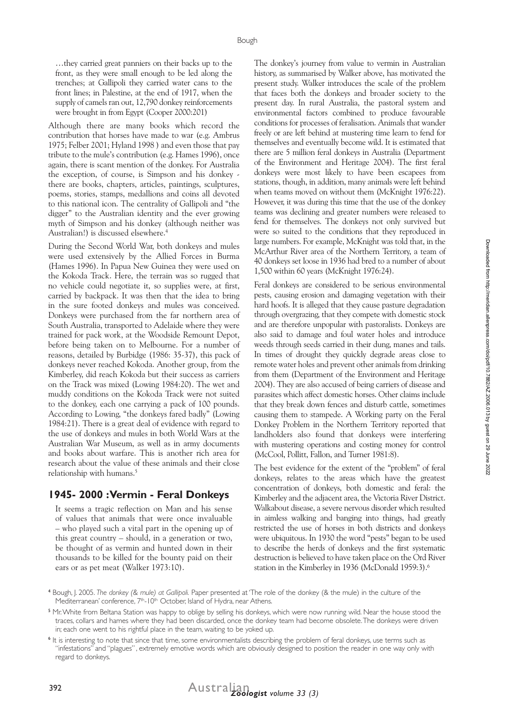…they carried great panniers on their backs up to the front, as they were small enough to be led along the trenches; at Gallipoli they carried water cans to the front lines; in Palestine, at the end of 1917, when the supply of camels ran out, 12,790 donkey reinforcements were brought in from Egypt (Cooper 2000:201)

Although there are many books which record the contribution that horses have made to war (e.g. Ambrus 1975; Felber 2001; Hyland 1998 ) and even those that pay tribute to the mule's contribution (e.g. Hames 1996), once again, there is scant mention of the donkey. For Australia the exception, of course, is Simpson and his donkey there are books, chapters, articles, paintings, sculptures, poems, stories, stamps, medallions and coins all devoted to this national icon. The centrality of Gallipoli and "the digger" to the Australian identity and the ever growing myth of Simpson and his donkey (although neither was Australian!) is discussed elsewhere.4

During the Second World War, both donkeys and mules were used extensively by the Allied Forces in Burma (Hames 1996). In Papua New Guinea they were used on the Kokoda Track. Here, the terrain was so rugged that no vehicle could negotiate it, so supplies were, at first, carried by backpack. It was then that the idea to bring in the sure footed donkeys and mules was conceived. Donkeys were purchased from the far northern area of South Australia, transported to Adelaide where they were trained for pack work, at the Woodside Remount Depot, before being taken on to Melbourne. For a number of reasons, detailed by Burbidge (1986: 35-37), this pack of donkeys never reached Kokoda. Another group, from the Kimberley, did reach Kokoda but their success as carriers on the Track was mixed (Lowing 1984:20). The wet and muddy conditions on the Kokoda Track were not suited to the donkey, each one carrying a pack of 100 pounds. According to Lowing, "the donkeys fared badly" (Lowing 1984:21). There is a great deal of evidence with regard to the use of donkeys and mules in both World Wars at the Australian War Museum, as well as in army documents and books about warfare. This is another rich area for research about the value of these animals and their close relationship with humans.<sup>5</sup>

#### **1945- 2000 : Vermin - Feral Donkeys**

It seems a tragic reflection on Man and his sense of values that animals that were once invaluable – who played such a vital part in the opening up of this great country – should, in a generation or two, be thought of as vermin and hunted down in their thousands to be killed for the bounty paid on their ears or as pet meat (Walker 1973:10).

The donkey's journey from value to vermin in Australian history, as summarised by Walker above, has motivated the present study. Walker introduces the scale of the problem that faces both the donkeys and broader society to the present day. In rural Australia, the pastoral system and environmental factors combined to produce favourable conditions for processes of feralisation. Animals that wander freely or are left behind at mustering time learn to fend for themselves and eventually become wild. It is estimated that there are 5 million feral donkeys in Australia (Department of the Environment and Heritage 2004). The first feral donkeys were most likely to have been escapees from stations, though, in addition, many animals were left behind when teams moved on without them (McKnight 1976:22). However, it was during this time that the use of the donkey teams was declining and greater numbers were released to fend for themselves. The donkeys not only survived but were so suited to the conditions that they reproduced in large numbers. For example, McKnight was told that, in the McArthur River area of the Northern Territory, a team of 40 donkeys set loose in 1936 had bred to a number of about 1,500 within 60 years (McKnight 1976:24).

Feral donkeys are considered to be serious environmental pests, causing erosion and damaging vegetation with their hard hoofs. It is alleged that they cause pasture degradation through overgrazing, that they compete with domestic stock and are therefore unpopular with pastoralists. Donkeys are also said to damage and foul water holes and introduce weeds through seeds carried in their dung, manes and tails. In times of drought they quickly degrade areas close to remote water holes and prevent other animals from drinking from them (Department of the Environment and Heritage 2004). They are also accused of being carriers of disease and parasites which affect domestic horses. Other claims include that they break down fences and disturb cattle, sometimes causing them to stampede. A Working party on the Feral Donkey Problem in the Northern Territory reported that landholders also found that donkeys were interfering with mustering operations and costing money for control (McCool, Pollitt, Fallon, and Turner 1981:8).

The best evidence for the extent of the "problem" of feral donkeys, relates to the areas which have the greatest concentration of donkeys, both domestic and feral: the Kimberley and the adjacent area, the Victoria River District. Walkabout disease, a severe nervous disorder which resulted in aimless walking and banging into things, had greatly restricted the use of horses in both districts and donkeys were ubiquitous. In 1930 the word "pests" began to be used to describe the herds of donkeys and the first systematic destruction is believed to have taken place on the Ord River station in the Kimberley in 1936 (McDonald 1959:3).<sup>6</sup>



<sup>4</sup> Bough, J. 2005. *The donkey (& mule) at Gallipoli.* Paper presented at 'The role of the donkey (& the mule) in the culture of the Mediterranean' conference, 7<sup>th</sup>-10<sup>th</sup> October, Island of Hydra, near Athens.

<sup>5</sup> Mr. White from Beltana Station was happy to oblige by selling his donkeys, which were now running wild. Near the house stood the traces, collars and hames where they had been discarded, once the donkey team had become obsolete. The donkeys were driven in; each one went to his rightful place in the team, waiting to be yoked up.

<sup>6</sup> It is interesting to note that since that time, some environmentalists describing the problem of feral donkeys, use terms such as "infestations" and "plagues", extremely emotive words which are obviously designed to position the reader in one way only with regard to donkeys.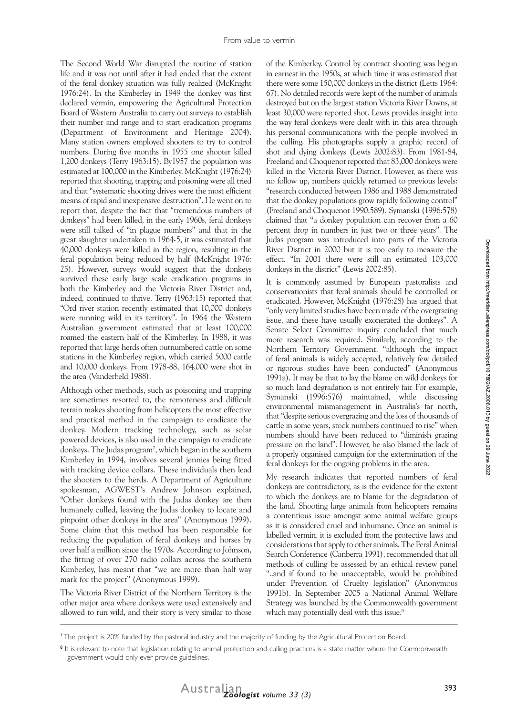The Second World War disrupted the routine of station life and it was not until after it had ended that the extent of the feral donkey situation was fully realized (McKnight 1976:24). In the Kimberley in 1949 the donkey was first declared vermin, empowering the Agricultural Protection Board of Western Australia to carry out surveys to establish their number and range and to start eradication programs (Department of Environment and Heritage 2004). Many station owners employed shooters to try to control numbers. During five months in 1955 one shooter killed 1,200 donkeys (Terry 1963:15). By1957 the population was estimated at 100,000 in the Kimberley. McKnight (1976:24) reported that shooting, trapping and poisoning were all tried and that "systematic shooting drives were the most efficient means of rapid and inexpensive destruction". He went on to report that, despite the fact that "tremendous numbers of donkeys" had been killed, in the early 1960s, feral donkeys were still talked of "in plague numbers" and that in the great slaughter undertaken in 1964-5, it was estimated that 40,000 donkeys were killed in the region, resulting in the feral population being reduced by half (McKnight 1976: 25). However, surveys would suggest that the donkeys survived these early large scale eradication programs in both the Kimberley and the Victoria River District and, indeed, continued to thrive. Terry (1963:15) reported that "Ord river station recently estimated that 10,000 donkeys were running wild in its territory". In 1964 the Western Australian government estimated that at least 100,000 roamed the eastern half of the Kimberley. In 1988, it was reported that large herds often outnumbered cattle on some stations in the Kimberley region, which carried 5000 cattle and 10,000 donkeys. From 1978-88, 164,000 were shot in the area (Vanderbeld 1988).

Although other methods, such as poisoning and trapping are sometimes resorted to, the remoteness and difficult terrain makes shooting from helicopters the most effective and practical method in the campaign to eradicate the donkey. Modern tracking technology, such as solar powered devices, is also used in the campaign to eradicate donkeys. The Judas program7 , which began in the southern Kimberley in 1994, involves several jennies being fitted with tracking device collars. These individuals then lead the shooters to the herds. A Department of Agriculture spokesman, AGWEST's Andrew Johnson explained, "Other donkeys found with the Judas donkey are then humanely culled, leaving the Judas donkey to locate and pinpoint other donkeys in the area" (Anonymous 1999). Some claim that this method has been responsible for reducing the population of feral donkeys and horses by over half a million since the 1970s. According to Johnson, the fitting of over 270 radio collars across the southern Kimberley, has meant that "we are more than half way mark for the project" (Anonymous 1999).

The Victoria River District of the Northern Territory is the other major area where donkeys were used extensively and allowed to run wild, and their story is very similar to those of the Kimberley. Control by contract shooting was begun in earnest in the 1950s, at which time it was estimated that there were some 150,000 donkeys in the district (Letts 1964: 67). No detailed records were kept of the number of animals destroyed but on the largest station Victoria River Downs, at least 30,000 were reported shot. Lewis provides insight into the way feral donkeys were dealt with in this area through his personal communications with the people involved in the culling. His photographs supply a graphic record of shot and dying donkeys (Lewis 2002:83). From 1981-84, Freeland and Choquenot reported that 83,000 donkeys were killed in the Victoria River District. However, as there was no follow up, numbers quickly returned to previous levels: "research conducted between 1986 and 1988 demonstrated that the donkey populations grow rapidly following control" (Freeland and Choquenot 1990:589). Symanski (1996:578) claimed that "a donkey population can recover from a 60 percent drop in numbers in just two or three years". The Judas program was introduced into parts of the Victoria River District in 2000 but it is too early to measure the effect. "In 2001 there were still an estimated 103,000 donkeys in the district" (Lewis 2002:85).

It is commonly assumed by European pastoralists and conservationists that feral animals should be controlled or eradicated. However, McKnight (1976:28) has argued that "only very limited studies have been made of the overgrazing issue, and these have usually exonerated the donkeys". A Senate Select Committee inquiry concluded that much more research was required. Similarly, according to the Northern Territory Government, "although the impact of feral animals is widely accepted, relatively few detailed or rigorous studies have been conducted" (Anonymous 1991a). It may be that to lay the blame on wild donkeys for so much land degradation is not entirely fair. For example, Symanski (1996:576) maintained, while discussing environmental mismanagement in Australia's far north, that "despite serious overgrazing and the loss of thousands of cattle in some years, stock numbers continued to rise" when numbers should have been reduced to "diminish grazing pressure on the land". However, he also blamed the lack of a properly organised campaign for the extermination of the feral donkeys for the ongoing problems in the area.

My research indicates that reported numbers of feral donkeys are contradictory, as is the evidence for the extent to which the donkeys are to blame for the degradation of the land. Shooting large animals from helicopters remains a contentious issue amongst some animal welfare groups as it is considered cruel and inhumane. Once an animal is labelled vermin, it is excluded from the protective laws and considerations that apply to other animals. The Feral Animal Search Conference (Canberra 1991), recommended that all methods of culling be assessed by an ethical review panel "..and if found to be unacceptable, would be prohibited under Prevention of Cruelty legislation" (Anonymous 1991b). In September 2005 a National Animal Welfare Strategy was launched by the Commonwealth government which may potentially deal with this issue.<sup>8</sup>

<sup>7</sup> The project is 20% funded by the pastoral industry and the majority of funding by the Agricultural Protection Board.

<sup>&</sup>lt;sup>8</sup> It is relevant to note that legislation relating to animal protection and culling practices is a state matter where the Commonwealth government would only ever provide guidelines.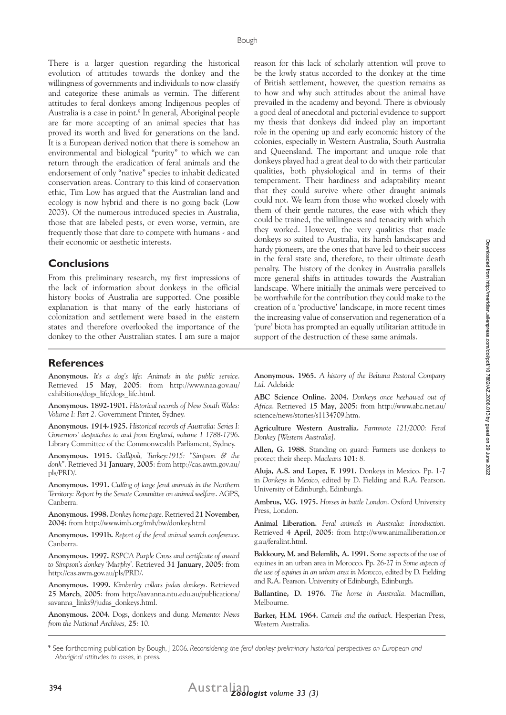There is a larger question regarding the historical evolution of attitudes towards the donkey and the willingness of governments and individuals to now classify and categorize these animals as vermin. The different attitudes to feral donkeys among Indigenous peoples of Australia is a case in point.<sup>9</sup> In general, Aboriginal people are far more accepting of an animal species that has proved its worth and lived for generations on the land. It is a European derived notion that there is somehow an environmental and biological "purity" to which we can return through the eradication of feral animals and the endorsement of only "native" species to inhabit dedicated conservation areas. Contrary to this kind of conservation ethic, Tim Low has argued that the Australian land and ecology is now hybrid and there is no going back (Low 2003). Of the numerous introduced species in Australia, those that are labeled pests, or even worse, vermin, are frequently those that dare to compete with humans - and their economic or aesthetic interests.

#### **Conclusions**

From this preliminary research, my first impressions of the lack of information about donkeys in the official history books of Australia are supported. One possible explanation is that many of the early historians of colonization and settlement were based in the eastern states and therefore overlooked the importance of the donkey to the other Australian states. I am sure a major

#### **References**

**Anonymous.** *It's a dog's life: Animals in the public service*. Retrieved **15 May**, **2005**: from http://www.naa.gov.au/ exhibitions/dogs\_life/dogs\_life.html.

**Anonymous. 1892-1901.** *Historical records of New South Wales: Volume I: Part 2*. Government Printer, Sydney.

**Anonymous. 1914-1925.** *Historical records of Australia: Series I: Governors' despatches to and from England, volume 1 1788-1796*. Library Committee of the Commonwealth Parliament, Sydney.

**Anonymous. 1915.** *Gallipoli, Turkey:1915: "Simpson & the donk"*. Retrieved **31 January**, **2005**: from http://cas.awm.gov.au/ pls/PRD/.

**Anonymous. 1991.** *Culling of large feral animals in the Northern Territory: Report by the Senate Committee on animal welfare*. AGPS, Canberra.

**Anonymous. 1998.** *Donkey home page*. Retrieved **21 November, 2004:** from http://www.imh.org/imh/bw/donkey.html

**Anonymous. 1991b.** *Report of the feral animal search conference*. Canberra.

**Anonymous. 1997.** *RSPCA Purple Cross and certificate of award to Simpson's donkey 'Murphy'*. Retrieved **31 January**, **2005**: from http://cas.awm.gov.au/pls/PRD/.

**Anonymous. 1999.** *Kimberley collars judas donkeys*. Retrieved **25 March**, **2005**: from http://savanna.ntu.edu.au/publications/ savanna\_links9/judas\_donkeys.html.

**Anonymous. 2004.** Dogs, donkeys and dung. *Memento: News from the National Archives,* **25**: 10.

reason for this lack of scholarly attention will prove to be the lowly status accorded to the donkey at the time of British settlement, however, the question remains as to how and why such attitudes about the animal have prevailed in the academy and beyond. There is obviously a good deal of anecdotal and pictorial evidence to support my thesis that donkeys did indeed play an important role in the opening up and early economic history of the colonies, especially in Western Australia, South Australia and Queensland. The important and unique role that donkeys played had a great deal to do with their particular qualities, both physiological and in terms of their temperament. Their hardiness and adaptability meant that they could survive where other draught animals could not. We learn from those who worked closely with them of their gentle natures, the ease with which they could be trained, the willingness and tenacity with which they worked. However, the very qualities that made donkeys so suited to Australia, its harsh landscapes and hardy pioneers, are the ones that have led to their success in the feral state and, therefore, to their ultimate death penalty. The history of the donkey in Australia parallels more general shifts in attitudes towards the Australian landscape. Where initially the animals were perceived to be worthwhile for the contribution they could make to the creation of a 'productive' landscape, in more recent times the increasing value of conservation and regeneration of a 'pure' biota has prompted an equally utilitarian attitude in support of the destruction of these same animals.

**Anonymous. 1965.** *A history of the Beltana Pastoral Company Ltd.* Adelaide

**ABC Science Online. 2004.** *Donkeys once heehawed out of Africa*. Retrieved **15 May**, **2005**: from http://www.abc.net.au/ science/news/stories/s1134709.htm.

**Agriculture Western Australia.** *Farmnote 121/2000: Feral Donkey [Western Australia]*.

**Allen, G. 1988.** Standing on guard: Farmers use donkeys to protect their sheep. *Macleans* **101**: 8.

**Aluja, A.S. and Lopez, F. 1991.** Donkeys in Mexico. Pp. 1-7 in *Donkeys in Mexico*, edited by D. Fielding and R.A. Pearson. University of Edinburgh, Edinburgh.

**Ambrus, V.G. 1975.** *Horses in battle London*. Oxford University Press, London.

**Animal Liberation.** *Feral animals in Australia: Introduction*. Retrieved **4 April**, **2005**: from http://www.animalliberation.or g.au/feralint.html.

**Bakkoury, M. and Belemlih, A. 1991.** Some aspects of the use of equines in an urban area in Morocco. Pp. 26-27 in *Some aspects of the use of equines in an urban area in Morocco*, edited by D. Fielding and R.A. Pearson. University of Edinburgh, Edinburgh.

**Ballantine, D. 1976.** *The horse in Australia*. Macmillan, Melbourne.

**Barker, H.M. 1964.** *Camels and the outback*. Hesperian Press, Western Australia.

9 See forthcoming publication by Bough, J 2006*. Reconsidering the feral donkey: preliminary historical perspectives on European and Aboriginal attitudes to asses,* in press.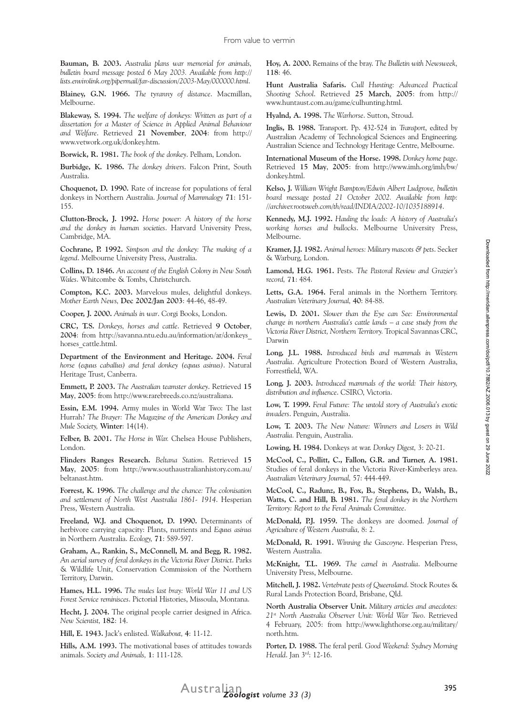**Bauman, B. 2003.** *Australia plans war memorial for animals, bulletin board message posted 6 May 2003. Available from http:// lists.envirolink.org/pipermail/far-discussion/2003-May/000000.html*.

**Blainey, G.N. 1966.** *The tyranny of distance*. Macmillan, Melbourne.

**Blakeway, S. 1994.** *The welfare of donkeys: Written as part of a dissertation for a Master of Science in Applied Animal Behaviour and Welfare*. Retrieved **21 November**, **2004**: from http:// www.vetwork.org.uk/donkey.htm.

**Borwick, R. 1981.** *The book of the donkey*. Pelham, London.

**Burbidge, K. 1986.** *The donkey drivers*. Falcon Print, South Australia.

**Choquenot, D. 1990.** Rate of increase for populations of feral donkeys in Northern Australia. *Journal of Mammalogy* **71**: 151- 155.

**Clutton-Brock, J. 1992.** *Horse power: A history of the horse and the donkey in human societies*. Harvard University Press, Cambridge, MA.

**Cochrane, P. 1992.** *Simpson and the donkey: The making of a legend*. Melbourne University Press, Australia.

**Collins, D. 1846.** *An account of the English Colony in New South Wales*. Whitcombe & Tombs, Christchurch.

**Compton, K.C. 2003.** Marvelous mules, delightful donkeys. *Mother Earth News,* **Dec 2002/Jan 2003**: 44-46, 48-49.

**Cooper, J. 2000.** *Animals in war*. Corgi Books, London.

**CRC, T.S.** *Donkeys, horses and cattle*. Retrieved **9 October**, **2004**: from http://savanna.ntu.edu.au/information/ar/donkeys\_ horses cattle.html.

**Department of the Environment and Heritage. 2004.** *Feral horse (equus caballus) and feral donkey (equus asinus)*. Natural Heritage Trust, Canberra.

**Emmett, P. 2003.** *The Australian teamster donkey*. Retrieved **15 May**, **2005**: from http://www.rarebreeds.co.nz/australiana.

**Essin, E.M. 1994.** Army mules in World War Two: The last Hurrah? *The Brayer: The Magazine of the American Donkey and Mule Society,* **Winter**: 14(14).

**Felber, B. 2001.** *The Horse in War.* Chelsea House Publishers, London.

**Flinders Ranges Research.** *Beltana Station*. Retrieved **15 May**, **2005**: from http://www.southaustralianhistory.com.au/ beltanast.htm.

**Forrest, K. 1996.** *The challenge and the chance: The colonisation and settlement of North West Australia 1861- 1914*. Hesperian Press, Western Australia.

**Freeland, W.J. and Choquenot, D. 1990.** Determinants of herbivore carrying capacity: Plants, nutrients and *Equus asinus* in Northern Australia. *Ecology,* **71**: 589-597.

**Graham, A., Rankin, S., McConnell, M. and Begg, R. 1982.** *An aerial survey of feral donkeys in the Victoria River District*. Parks & Wildlife Unit, Conservation Commission of the Northern Territory, Darwin.

**Hames, H.L. 1996.** *The mules last bray: World War 11 and US Forest Service reminisces*. Pictorial Histories, Missoula, Montana.

**Hecht, J. 2004.** The original people carrier designed in Africa. *New Scientist,* **182**: 14.

**Hill, E. 1943.** Jack's enlisted. *Walkabout,* **4**: 11-12.

**Hills, A.M. 1993.** The motivational bases of attitudes towards animals. *Society and Animals,* **1**: 111-128.

**Hoy, A. 2000.** Remains of the bray. *The Bulletin with Newsweek,*  **118**: 46.

**Hunt Australia Safaris.** *Cull Hunting: Advanced Practical Shooting School*. Retrieved **25 March**, **2005**: from http:// www.huntaust.com.au/game/culhunting.html.

**Hyalnd, A. 1998.** *The Warhorse*. Sutton, Stroud.

**Inglis, B. 1988.** Transport. Pp. 432-524 in *Transport*, edited by Australian Academy of Technological Sciences and Engineering. Australian Science and Technology Heritage Centre, Melbourne.

**International Museum of the Horse. 1998.** *Donkey home page*. Retrieved **15 May**, **2005**: from http://www.imh.org/imh/bw/ donkey.html.

**Kelso, J.** *William Wright Bampton/Edwin Albert Ludgrove, bulletin board message posted 21 October 2002. Available from http: //archiver.rootsweb.com/th/read/INDIA/2002-10/1035188914*.

**Kennedy, M.J. 1992.** *Hauling the loads: A history of Australia's working horses and bullocks*. Melbourne University Press, Melbourne.

**Kramer, J.J. 1982.** *Animal heroes: Military mascots & pets*. Secker & Warburg, London.

**Lamond, H.G. 1961.** Pests. *The Pastoral Review and Grazier's record,* **71**: 484.

**Letts, G.A. 1964.** Feral animals in the Northern Territory. *Australian Veterinary Journal,* **40**: 84-88.

**Lewis, D. 2001.** *Slower than the Eye can See: Environmental change in northern Australia's cattle lands – a case study from the Victoria River District, Northern Territory.* Tropical Savannas CRC, Darwin

**Long, J.L. 1988.** *Introduced birds and mammals in Western Australia*. Agriculture Protection Board of Western Australia, Forrestfield, WA.

**Long, J. 2003.** *Introduced mammals of the world: Their history, distribution and influence*. CSIRO, Victoria.

**Low, T. 1999.** *Feral Future: The untold story of Australia's exotic invaders*. Penguin, Australia.

**Low, T. 2003.** *The New Nature: Winners and Losers in Wild Australia.* Penguin, Australia.

**Lowing, H. 1984.** Donkeys at war. *Donkey Digest,* 3: 20-21.

**McCool, C., Pollitt, C., Fallon, G.R. and Turner, A. 1981.**  Studies of feral donkeys in the Victoria River-Kimberleys area. *Australian Veterinary Journal,* 57: 444-449.

**McCool, C., Radunz, B., Fox, B., Stephens, D., Walsh, B., Watts, C. and Hill, B. 1981.** *The feral donkey in the Northern Territory: Report to the Feral Animals Committee*.

**McDonald, P.J. 1959.** The donkeys are doomed. *Journal of Agriculture of Western Australia,* 8: 2.

**McDonald, R. 1991.** *Winning the Gascoyne*. Hesperian Press, Western Australia.

**McKnight, T.L. 1969.** *The camel in Australia*. Melbourne University Press, Melbourne.

**Mitchell, J. 1982.** *Vertebrate pests of Queensland*. Stock Routes & Rural Lands Protection Board, Brisbane, Qld.

**North Australia Observer Unit.** *Military articles and anecdotes: 21st North Australia Observer Unit: World War Two*. Retrieved 4 February, 2005: from http://www.lighthorse.org.au/military/ north.htm.

**Porter, D. 1988.** The feral peril*. Good Weekend: Sydney Morning Herald*. Jan 3rd: 12-16.

Downloaded from http://meridian.allenpress.com/doi/pdf/10.7882/AZ.2006.013 by guest on 29 June 2022 Downloaded from http://meridian.allenpress.com/doi/pdf/10.7882/AZ.2006.013 by guest on 29 June 2022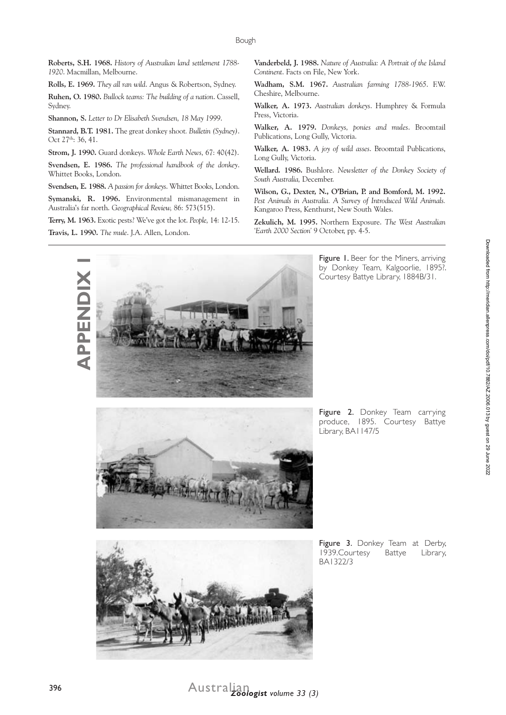**Roberts, S.H. 1968.** *History of Australian land settlement 1788- 1920*. Macmillan, Melbourne.

**Rolls, E. 1969.** *They all ran wild*. Angus & Robertson, Sydney.

**Ruhen, O. 1980.** *Bullock teams: The building of a nation*. Cassell, Sydney.

**Shannon, S.** *Letter to Dr Elisabeth Svendsen, 18 May 1999*.

**Stannard, B.T. 1981.** The great donkey shoot*. Bulletin (Sydney)*. Oct 27<sup>th</sup>: 36, 41.

**Strom, J. 1990.** Guard donkeys. *Whole Earth News,* 67: 40(42).

**Svendsen, E. 1986.** *The professional handbook of the donkey*. Whittet Books, London.

**Svendsen, E. 1988.** *A passion for donkeys*. Whittet Books, London.

**Symanski, R. 1996.** Environmental mismanagement in Australia's far north. *Geographical Review,* 86: 573(515).

**Terry, M. 1963.** Exotic pests? We've got the lot. *People,* 14: 12-15.

**Travis, L. 1990.** *The mule*. J.A. Allen, London.

**Vanderbeld, J. 1988.** *Nature of Australia: A Portrait of the Island Continent*. Facts on File, New York.

**Wadham, S.M. 1967.** *Australian farming 1788-1965*. F.W. Cheshire, Melbourne.

**Walker, A. 1973.** *Australian donkeys*. Humphrey & Formula Press, Victoria.

**Walker, A. 1979.** *Donkeys, ponies and mules*. Broomtail Publications, Long Gully, Victoria.

**Walker, A. 1983.** *A joy of wild asses*. Broomtail Publications, Long Gully, Victoria.

**Wellard. 1986.** Bushlore. *Newsletter of the Donkey Society of South Australia,* December.

**Wilson, G., Dexter, N., O'Brian, P. and Bomford, M. 1992.**  *Pest Animals in Australia. A Survey of Introduced Wild Animals.* Kangaroo Press, Kenthurst, New South Wales.

**Zekulich, M. 1995.** Northern Exposure. *The West Australian 'Earth 2000 Section'* 9 October, pp. 4-5.



Figure 1. Beer for the Miners, arriving by Donkey Team, Kalgoorlie, 1895?. Courtesy Battye Library, 1884B/31.



Figure 2. Donkey Team carrying produce, 1895. Courtesy Battye Library, BA1147/5

Downloaded from http://meridian.allenpress.com/doi/pdf/10.7882/AZ.2006.013 by guest on 29 June 2022



Figure 3. Donkey Team at Derby, 1939.Courtesy Battye Library, BA1322/3